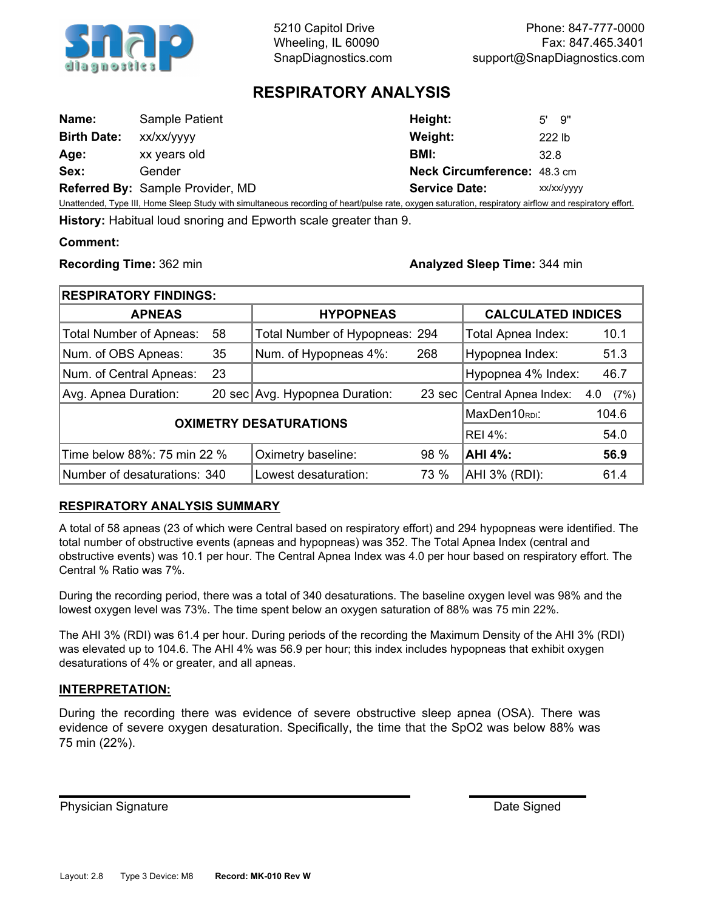

Phone: 847-777-0000 Fax: 847.465.3401 support@SnapDiagnostics.com

# **RESPIRATORY ANALYSIS**

| Name:              | Sample Patient                          | Height:                     | - 9"<br>5' |
|--------------------|-----------------------------------------|-----------------------------|------------|
| <b>Birth Date:</b> | xx/xx/yyyy                              | Weight:                     | 222 lb     |
| Age:               | xx years old                            | <b>BMI:</b>                 | 32.8       |
| Sex:               | Gender                                  | Neck Circumference: 48.3 cm |            |
|                    | <b>Referred By: Sample Provider, MD</b> | <b>Service Date:</b>        | xx/xx/yyyy |

Unattended, Type III, Home Sleep Study with simultaneous recording of heart/pulse rate, oxygen saturation, respiratory airflow and respiratory effort. **History:** Habitual loud snoring and Epworth scale greater than 9.

**Comment:**

**Recording Time:** 362 min **Analyzed Sleep Time:** 344 min

| <b>RESPIRATORY FINDINGS:</b>         |                  |                                |      |                             |             |
|--------------------------------------|------------------|--------------------------------|------|-----------------------------|-------------|
| <b>APNEAS</b>                        |                  | <b>HYPOPNEAS</b>               |      | <b>CALCULATED INDICES</b>   |             |
| <b>Total Number of Apneas:</b><br>58 |                  | Total Number of Hypopneas: 294 |      | Total Apnea Index:          | 10.1        |
| Num. of OBS Apneas:<br>35            |                  | Num. of Hypopneas 4%:<br>268   |      | Hypopnea Index:             | 51.3        |
| Num. of Central Apneas:<br>23        |                  |                                |      | Hypopnea 4% Index:          | 46.7        |
| Avg. Apnea Duration:                 |                  | 20 sec Avg. Hypopnea Duration: |      | 23 sec Central Apnea Index: | (7%)<br>4.0 |
| <b>OXIMETRY DESATURATIONS</b>        | $MaxDen10_{RDI}$ | 104.6                          |      |                             |             |
|                                      | REI 4%:          | 54.0                           |      |                             |             |
| Time below 88%: 75 min 22 %          |                  | Oximetry baseline:             | 98 % | AHI 4%:                     | 56.9        |
| Number of desaturations: 340         |                  | Lowest desaturation:           | 73 % | AHI 3% (RDI):               | 61.4        |

#### **RESPIRATORY ANALYSIS SUMMARY**

A total of 58 apneas (23 of which were Central based on respiratory effort) and 294 hypopneas were identified. The total number of obstructive events (apneas and hypopneas) was 352. The Total Apnea Index (central and obstructive events) was 10.1 per hour. The Central Apnea Index was 4.0 per hour based on respiratory effort. The Central % Ratio was 7%.

During the recording period, there was a total of 340 desaturations. The baseline oxygen level was 98% and the lowest oxygen level was 73%. The time spent below an oxygen saturation of 88% was 75 min 22%.

The AHI 3% (RDI) was 61.4 per hour. During periods of the recording the Maximum Density of the AHI 3% (RDI) was elevated up to 104.6. The AHI 4% was 56.9 per hour; this index includes hypopneas that exhibit oxygen desaturations of 4% or greater, and all apneas.

### **INTERPRETATION:**

During the recording there was evidence of severe obstructive sleep apnea (OSA). There was evidence of severe oxygen desaturation. Specifically, the time that the SpO2 was below 88% was 75 min (22%).

Physician Signature **Date Signed Date Signed**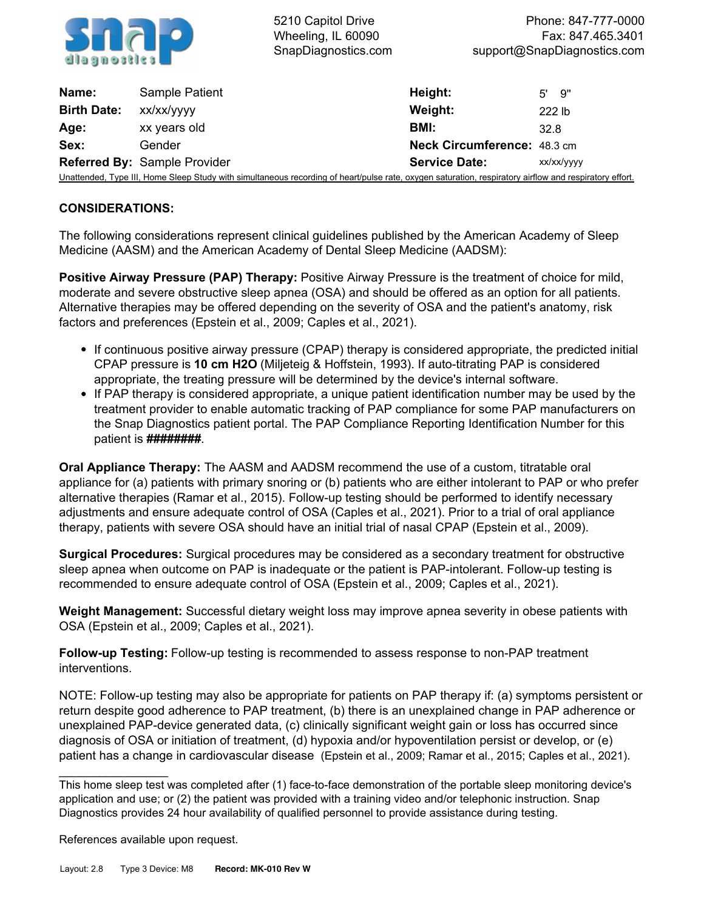

Phone: 847-777-0000 Fax: 847.465.3401 support@SnapDiagnostics.com

| Name:              | Sample Patient                                                                                                                                         | Height:                     | 9"<br>5'   |
|--------------------|--------------------------------------------------------------------------------------------------------------------------------------------------------|-----------------------------|------------|
| <b>Birth Date:</b> | xx/xx/yyyy                                                                                                                                             | Weight:                     | 222 lb     |
| Age:               | xx years old                                                                                                                                           | BMI:                        | 32.8       |
| Sex:               | Gender                                                                                                                                                 | Neck Circumference: 48.3 cm |            |
|                    | <b>Referred By: Sample Provider</b>                                                                                                                    | <b>Service Date:</b>        | xx/xx/vvvv |
|                    | Unattended, Type III, Home Sleep Study with simultaneous recording of heart/pulse rate, oxygen saturation, respiratory airflow and respiratory effort. |                             |            |

### **CONSIDERATIONS:**

The following considerations represent clinical guidelines published by the American Academy of Sleep Medicine (AASM) and the American Academy of Dental Sleep Medicine (AADSM):

**Positive Airway Pressure (PAP) Therapy:** Positive Airway Pressure is the treatment of choice for mild, moderate and severe obstructive sleep apnea (OSA) and should be offered as an option for all patients. Alternative therapies may be offered depending on the severity of OSA and the patient's anatomy, risk factors and preferences (Epstein et al., 2009; Caples et al., 2021).

- If continuous positive airway pressure (CPAP) therapy is considered appropriate, the predicted initial CPAP pressure is **10 cm H2O** (Miljeteig & Hoffstein, 1993). If auto-titrating PAP is considered appropriate, the treating pressure will be determined by the device's internal software.
- If PAP therapy is considered appropriate, a unique patient identification number may be used by the treatment provider to enable automatic tracking of PAP compliance for some PAP manufacturers on the Snap Diagnostics patient portal. The PAP Compliance Reporting Identification Number for this patient is **########**.

**Oral Appliance Therapy:** The AASM and AADSM recommend the use of a custom, titratable oral appliance for (a) patients with primary snoring or (b) patients who are either intolerant to PAP or who prefer alternative therapies (Ramar et al., 2015). Follow-up testing should be performed to identify necessary adjustments and ensure adequate control of OSA (Caples et al., 2021). Prior to a trial of oral appliance therapy, patients with severe OSA should have an initial trial of nasal CPAP (Epstein et al., 2009).

**Surgical Procedures:** Surgical procedures may be considered as a secondary treatment for obstructive sleep apnea when outcome on PAP is inadequate or the patient is PAP-intolerant. Follow-up testing is recommended to ensure adequate control of OSA (Epstein et al., 2009; Caples et al., 2021).

**Weight Management:** Successful dietary weight loss may improve apnea severity in obese patients with OSA (Epstein et al., 2009; Caples et al., 2021).

**Follow-up Testing:** Follow-up testing is recommended to assess response to non-PAP treatment interventions.

NOTE: Follow-up testing may also be appropriate for patients on PAP therapy if: (a) symptoms persistent or return despite good adherence to PAP treatment, (b) there is an unexplained change in PAP adherence or unexplained PAP-device generated data, (c) clinically significant weight gain or loss has occurred since diagnosis of OSA or initiation of treatment, (d) hypoxia and/or hypoventilation persist or develop, or (e) patient has a change in cardiovascular disease (Epstein et al., 2009; Ramar et al., 2015; Caples et al., 2021).

References available upon request.

 $\overline{\phantom{a}}$  . The state of the state of the state of the state of the state of the state of the state of the state of the state of the state of the state of the state of the state of the state of the state of the state of

This home sleep test was completed after (1) face-to-face demonstration of the portable sleep monitoring device's application and use; or (2) the patient was provided with a training video and/or telephonic instruction. Snap Diagnostics provides 24 hour availability of qualified personnel to provide assistance during testing.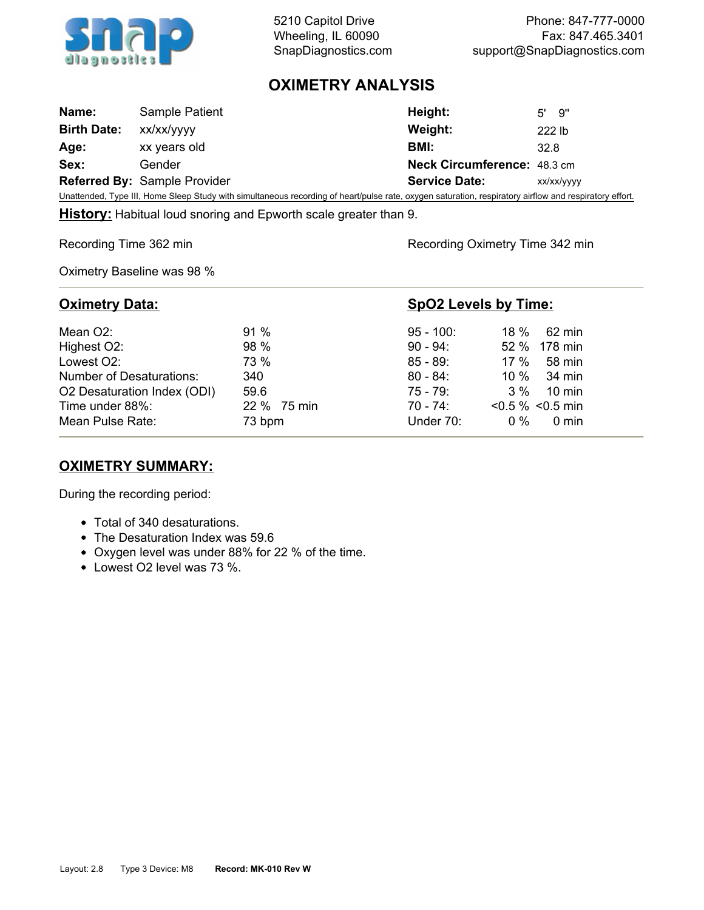

Phone: 847-777-0000 Fax: 847.465.3401 support@SnapDiagnostics.com

# **OXIMETRY ANALYSIS**

| Name:              | Sample Patient                      | Height:                     | 9"<br>г'   |
|--------------------|-------------------------------------|-----------------------------|------------|
| <b>Birth Date:</b> | xx/xx/yyyy                          | Weight:                     | 222 lb     |
| Age:               | xx years old                        | BMI:                        | 32.8       |
| Sex:               | Gender                              | Neck Circumference: 48.3 cm |            |
|                    | <b>Referred By: Sample Provider</b> | <b>Service Date:</b>        | xx/xx/vvvv |
|                    |                                     |                             |            |

Unattended, Type III, Home Sleep Study with simultaneous recording of heart/pulse rate, oxygen saturation, respiratory airflow and respiratory effort.

**History:** Habitual loud snoring and Epworth scale greater than 9.

Recording Time 362 min Recording Oximetry Time 342 min

Oximetry Baseline was 98 %

| <b>Oximetry Data:</b>           |             |              | <b>SpO2 Levels by Time:</b> |
|---------------------------------|-------------|--------------|-----------------------------|
| Mean O <sub>2</sub> :           | 91%         | $95 - 100$ : | 18 %<br>62 min              |
| Highest O2:                     | 98 %        | $90 - 94$ :  | 52 % 178 min                |
| Lowest O2:                      | 73 %        | $85 - 89$ :  | 17 %<br>58 min              |
| <b>Number of Desaturations:</b> | 340         | $80 - 84$ :  | $10\%$ 34 min               |
| O2 Desaturation Index (ODI)     | 59.6        | $75 - 79$ :  | 3 %<br>$10 \text{ min}$     |
| Time under 88%:                 | 22 % 75 min | 70 - 74:     | $< 0.5 \% < 0.5$ min        |
| Mean Pulse Rate:                | 73 bpm      | Under 70:    | $0\%$<br>0 min              |

## **OXIMETRY SUMMARY:**

During the recording period:

- Total of 340 desaturations.
- The Desaturation Index was 59.6
- Oxygen level was under 88% for 22 % of the time.
- Lowest O2 level was 73 %.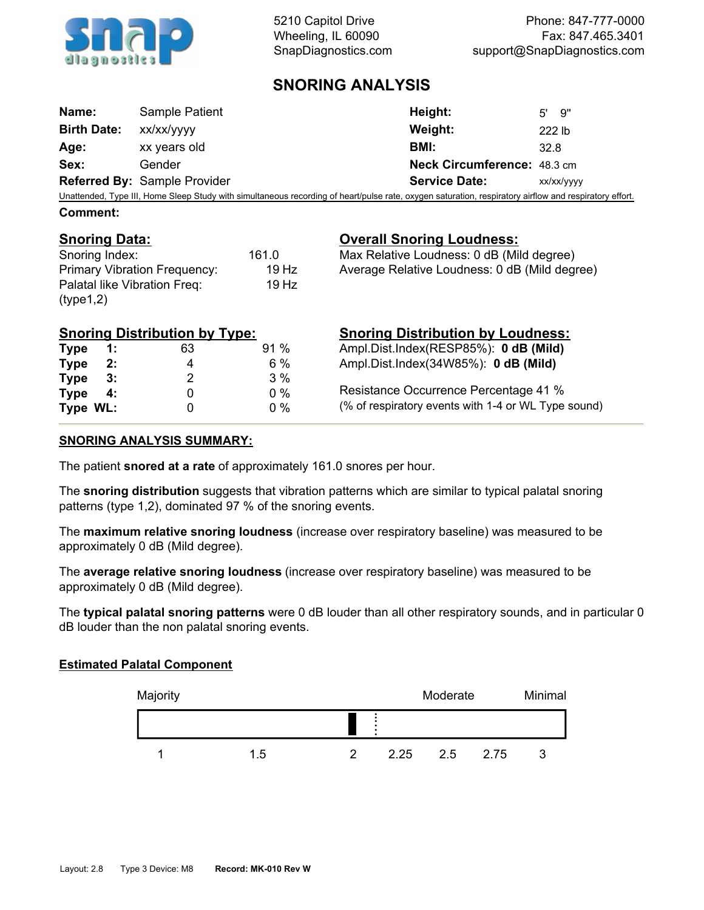

Phone: 847-777-0000 Fax: 847.465.3401 support@SnapDiagnostics.com

## **SNORING ANALYSIS**

| Weight:<br>xx/xx/yyyy<br>222 lb<br>xx years old<br>BMI:<br>32.8<br>Neck Circumference: 48.3 cm<br>Gender | Name:              | Sample Patient | Height: | $5'$ 9" |
|----------------------------------------------------------------------------------------------------------|--------------------|----------------|---------|---------|
|                                                                                                          | <b>Birth Date:</b> |                |         |         |
|                                                                                                          | Age:               |                |         |         |
|                                                                                                          | Sex:               |                |         |         |
| <b>Referred By: Sample Provider</b><br><b>Service Date:</b><br>xx/xx/yyyy                                |                    |                |         |         |

Unattended, Type III, Home Sleep Study with simultaneous recording of heart/pulse rate, oxygen saturation, respiratory airflow and respiratory effort.

### **Comment:**

### **Snoring Data:**

### **Overall Snoring Loudness:**

| Snoring Index:                      | 161.0 |  |
|-------------------------------------|-------|--|
| <b>Primary Vibration Frequency:</b> | 19 Hz |  |
| Palatal like Vibration Freq:        | 19 Hz |  |
| (type1,2)                           |       |  |

| Max Relative Loudness: 0 dB (Mild degree)     |
|-----------------------------------------------|
| Average Relative Loudness: 0 dB (Mild degree) |

|             |              | <b>Snoring Distribution by Type:</b> |       | <b>Snoring Distribution by Loudness:</b>            |
|-------------|--------------|--------------------------------------|-------|-----------------------------------------------------|
| <b>Type</b> | $\ddagger$ : | 63                                   | 91%   | Ampl.Dist.Index(RESP85%): 0 dB (Mild)               |
| <b>Type</b> | 2:           | 4                                    | 6 %   | Ampl.Dist.Index(34W85%): 0 dB (Mild)                |
| <b>Type</b> | - 3:         |                                      | 3%    |                                                     |
| <b>Type</b> | -4:          |                                      | $0\%$ | Resistance Occurrence Percentage 41 %               |
| Type WL:    |              |                                      | $0\%$ | (% of respiratory events with 1-4 or WL Type sound) |

#### **SNORING ANALYSIS SUMMARY:**

The patient **snored at a rate** of approximately 161.0 snores per hour.

The **snoring distribution** suggests that vibration patterns which are similar to typical palatal snoring patterns (type 1,2), dominated 97 % of the snoring events.

The **maximum relative snoring loudness** (increase over respiratory baseline) was measured to be approximately 0 dB (Mild degree).

The **average relative snoring loudness** (increase over respiratory baseline) was measured to be approximately 0 dB (Mild degree).

The **typical palatal snoring patterns** were 0 dB louder than all other respiratory sounds, and in particular 0 dB louder than the non palatal snoring events.

#### **Estimated Palatal Component**